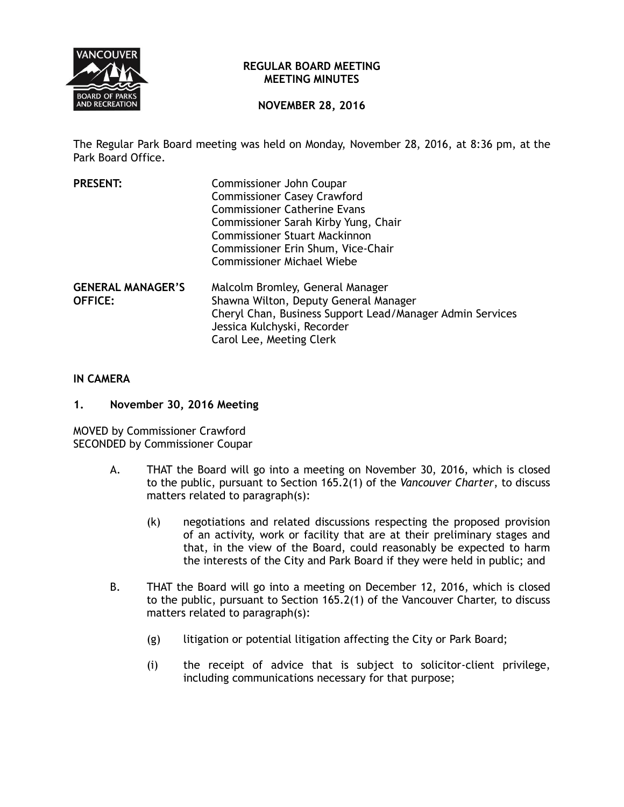

## **REGULAR BOARD MEETING MEETING MINUTES**

# **NOVEMBER 28, 2016**

The Regular Park Board meeting was held on Monday, November 28, 2016, at 8:36 pm, at the Park Board Office.

| <b>PRESENT:</b>                            | Commissioner John Coupar<br><b>Commissioner Casey Crawford</b><br><b>Commissioner Catherine Evans</b><br>Commissioner Sarah Kirby Yung, Chair<br><b>Commissioner Stuart Mackinnon</b><br>Commissioner Erin Shum, Vice-Chair<br><b>Commissioner Michael Wiebe</b> |
|--------------------------------------------|------------------------------------------------------------------------------------------------------------------------------------------------------------------------------------------------------------------------------------------------------------------|
| <b>GENERAL MANAGER'S</b><br><b>OFFICE:</b> | Malcolm Bromley, General Manager<br>Shawna Wilton, Deputy General Manager<br>Cheryl Chan, Business Support Lead/Manager Admin Services<br>Jessica Kulchyski, Recorder<br>Carol Lee, Meeting Clerk                                                                |

## **IN CAMERA**

### **1. November 30, 2016 Meeting**

MOVED by Commissioner Crawford SECONDED by Commissioner Coupar

- A. THAT the Board will go into a meeting on November 30, 2016, which is closed to the public, pursuant to Section 165.2(1) of the *Vancouver Charter*, to discuss matters related to paragraph(s):
	- (k) negotiations and related discussions respecting the proposed provision of an activity, work or facility that are at their preliminary stages and that, in the view of the Board, could reasonably be expected to harm the interests of the City and Park Board if they were held in public; and
- B. THAT the Board will go into a meeting on December 12, 2016, which is closed to the public, pursuant to Section 165.2(1) of the Vancouver Charter, to discuss matters related to paragraph(s):
	- (g) litigation or potential litigation affecting the City or Park Board;
	- (i) the receipt of advice that is subject to solicitor-client privilege, including communications necessary for that purpose;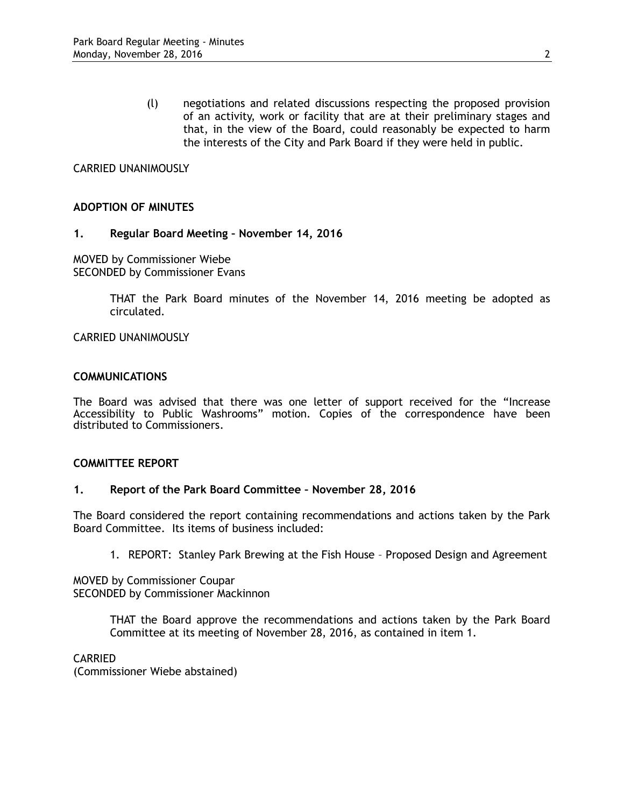(l) negotiations and related discussions respecting the proposed provision of an activity, work or facility that are at their preliminary stages and that, in the view of the Board, could reasonably be expected to harm the interests of the City and Park Board if they were held in public.

# CARRIED UNANIMOUSLY

### **ADOPTION OF MINUTES**

### **1. Regular Board Meeting – November 14, 2016**

MOVED by Commissioner Wiebe SECONDED by Commissioner Evans

> THAT the Park Board minutes of the November 14, 2016 meeting be adopted as circulated.

CARRIED UNANIMOUSLY

### **COMMUNICATIONS**

The Board was advised that there was one letter of support received for the "Increase Accessibility to Public Washrooms" motion. Copies of the correspondence have been distributed to Commissioners.

### **COMMITTEE REPORT**

### **1. Report of the Park Board Committee – November 28, 2016**

The Board considered the report containing recommendations and actions taken by the Park Board Committee. Its items of business included:

1. REPORT: Stanley Park Brewing at the Fish House – Proposed Design and Agreement

MOVED by Commissioner Coupar SECONDED by Commissioner Mackinnon

> THAT the Board approve the recommendations and actions taken by the Park Board Committee at its meeting of November 28, 2016, as contained in item 1.

## CARRIED

(Commissioner Wiebe abstained)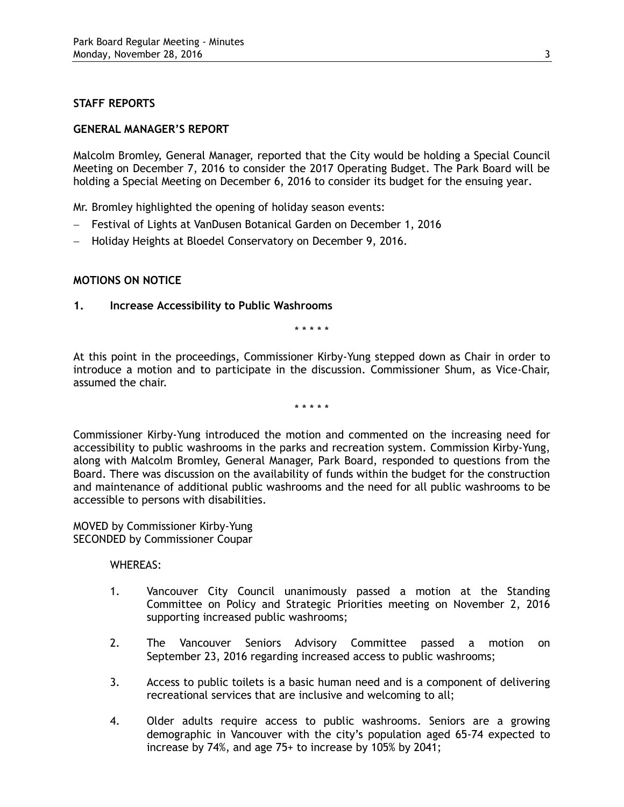# **STAFF REPORTS**

## **GENERAL MANAGER'S REPORT**

Malcolm Bromley, General Manager, reported that the City would be holding a Special Council Meeting on December 7, 2016 to consider the 2017 Operating Budget. The Park Board will be holding a Special Meeting on December 6, 2016 to consider its budget for the ensuing year.

Mr. Bromley highlighted the opening of holiday season events:

- Festival of Lights at VanDusen Botanical Garden on December 1, 2016
- Holiday Heights at Bloedel Conservatory on December 9, 2016.

# **MOTIONS ON NOTICE**

**1. Increase Accessibility to Public Washrooms**

\* \* \* \* \*

At this point in the proceedings, Commissioner Kirby-Yung stepped down as Chair in order to introduce a motion and to participate in the discussion. Commissioner Shum, as Vice-Chair, assumed the chair.

\* \* \* \* \*

Commissioner Kirby-Yung introduced the motion and commented on the increasing need for accessibility to public washrooms in the parks and recreation system. Commission Kirby-Yung, along with Malcolm Bromley, General Manager, Park Board, responded to questions from the Board. There was discussion on the availability of funds within the budget for the construction and maintenance of additional public washrooms and the need for all public washrooms to be accessible to persons with disabilities.

MOVED by Commissioner Kirby-Yung SECONDED by Commissioner Coupar

WHEREAS:

- 1. Vancouver City Council unanimously passed a motion at the Standing Committee on Policy and Strategic Priorities meeting on November 2, 2016 supporting increased public washrooms;
- 2. The Vancouver Seniors Advisory Committee passed a motion on September 23, 2016 regarding increased access to public washrooms;
- 3. Access to public toilets is a basic human need and is a component of delivering recreational services that are inclusive and welcoming to all;
- 4. Older adults require access to public washrooms. Seniors are a growing demographic in Vancouver with the city's population aged 65-74 expected to increase by 74%, and age 75+ to increase by 105% by 2041;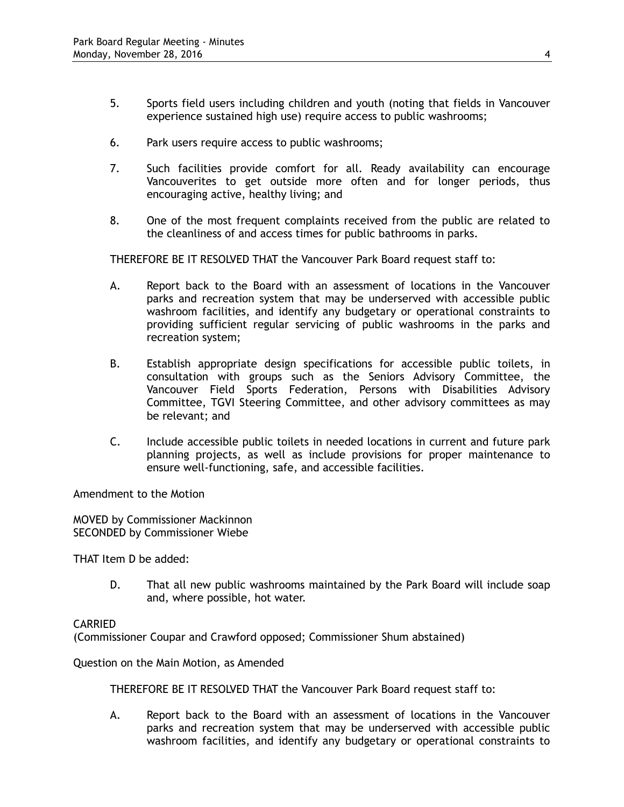- 5. Sports field users including children and youth (noting that fields in Vancouver experience sustained high use) require access to public washrooms;
- 6. Park users require access to public washrooms;
- 7. Such facilities provide comfort for all. Ready availability can encourage Vancouverites to get outside more often and for longer periods, thus encouraging active, healthy living; and
- 8. One of the most frequent complaints received from the public are related to the cleanliness of and access times for public bathrooms in parks.

THEREFORE BE IT RESOLVED THAT the Vancouver Park Board request staff to:

- A. Report back to the Board with an assessment of locations in the Vancouver parks and recreation system that may be underserved with accessible public washroom facilities, and identify any budgetary or operational constraints to providing sufficient regular servicing of public washrooms in the parks and recreation system;
- B. Establish appropriate design specifications for accessible public toilets, in consultation with groups such as the Seniors Advisory Committee, the Vancouver Field Sports Federation, Persons with Disabilities Advisory Committee, TGVI Steering Committee, and other advisory committees as may be relevant; and
- C. Include accessible public toilets in needed locations in current and future park planning projects, as well as include provisions for proper maintenance to ensure well-functioning, safe, and accessible facilities.

Amendment to the Motion

MOVED by Commissioner Mackinnon SECONDED by Commissioner Wiebe

THAT Item D be added:

D. That all new public washrooms maintained by the Park Board will include soap and, where possible, hot water.

### CARRIED

(Commissioner Coupar and Crawford opposed; Commissioner Shum abstained)

Question on the Main Motion, as Amended

THEREFORE BE IT RESOLVED THAT the Vancouver Park Board request staff to:

A. Report back to the Board with an assessment of locations in the Vancouver parks and recreation system that may be underserved with accessible public washroom facilities, and identify any budgetary or operational constraints to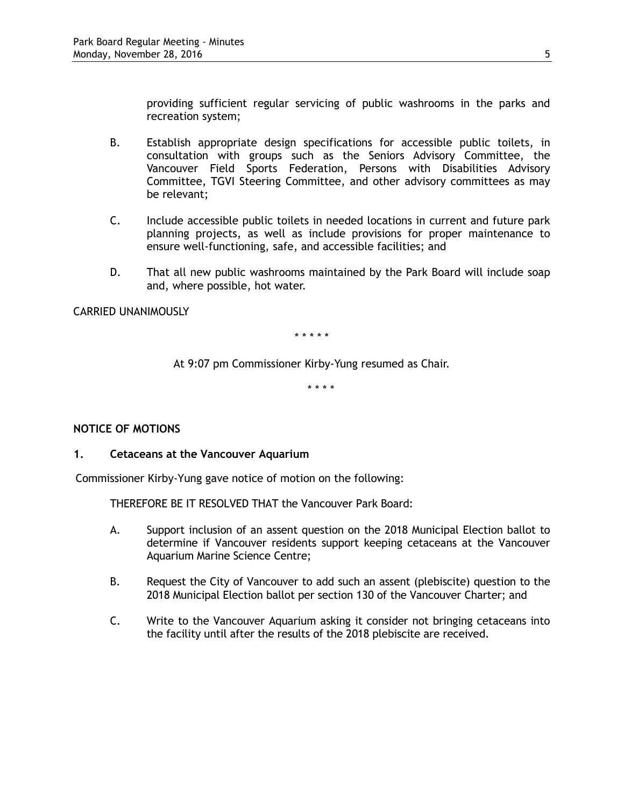providing sufficient regular servicing of public washrooms in the parks and recreation system;

- B. Establish appropriate design specifications for accessible public toilets, in consultation with groups such as the Seniors Advisory Committee, the Vancouver Field Sports Federation, Persons with Disabilities Advisory Committee, TGVI Steering Committee, and other advisory committees as may be relevant;
- C. Include accessible public toilets in needed locations in current and future park planning projects, as well as include provisions for proper maintenance to ensure well-functioning, safe, and accessible facilities; and
- D. That all new public washrooms maintained by the Park Board will include soap and, where possible, hot water.

## CARRIED UNANIMOUSLY

\* \* \* \* \*

At 9:07 pm Commissioner Kirby-Yung resumed as Chair.

\* \* \* \*

# **NOTICE OF MOTIONS**

### **1. Cetaceans at the Vancouver Aquarium**

Commissioner Kirby-Yung gave notice of motion on the following:

THEREFORE BE IT RESOLVED THAT the Vancouver Park Board:

- A. Support inclusion of an assent question on the 2018 Municipal Election ballot to determine if Vancouver residents support keeping cetaceans at the Vancouver Aquarium Marine Science Centre;
- B. Request the City of Vancouver to add such an assent (plebiscite) question to the 2018 Municipal Election ballot per section 130 of the Vancouver Charter; and
- C. Write to the Vancouver Aquarium asking it consider not bringing cetaceans into the facility until after the results of the 2018 plebiscite are received.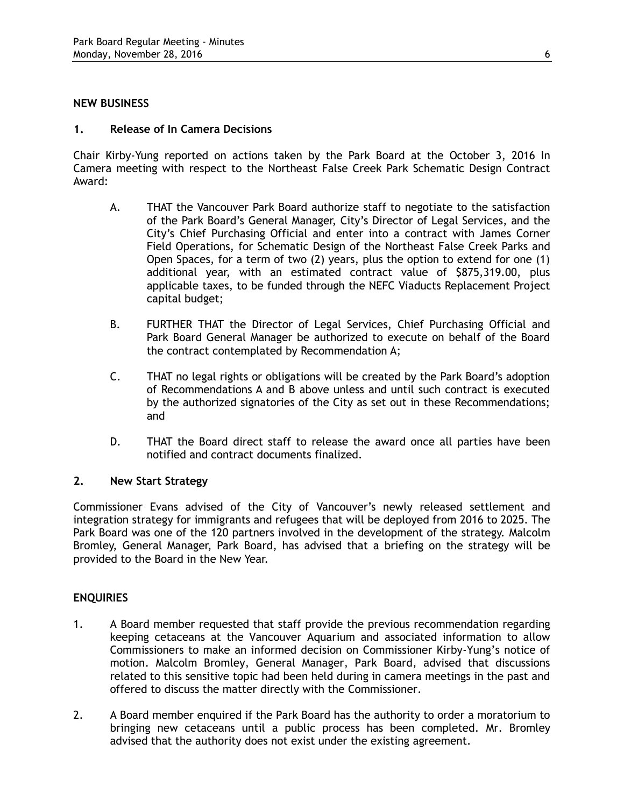## **NEW BUSINESS**

## **1. Release of In Camera Decisions**

Chair Kirby-Yung reported on actions taken by the Park Board at the October 3, 2016 In Camera meeting with respect to the Northeast False Creek Park Schematic Design Contract Award:

- A. THAT the Vancouver Park Board authorize staff to negotiate to the satisfaction of the Park Board's General Manager, City's Director of Legal Services, and the City's Chief Purchasing Official and enter into a contract with James Corner Field Operations, for Schematic Design of the Northeast False Creek Parks and Open Spaces, for a term of two (2) years, plus the option to extend for one (1) additional year, with an estimated contract value of \$875,319.00, plus applicable taxes, to be funded through the NEFC Viaducts Replacement Project capital budget;
- B. FURTHER THAT the Director of Legal Services, Chief Purchasing Official and Park Board General Manager be authorized to execute on behalf of the Board the contract contemplated by Recommendation A;
- C. THAT no legal rights or obligations will be created by the Park Board's adoption of Recommendations A and B above unless and until such contract is executed by the authorized signatories of the City as set out in these Recommendations; and
- D. THAT the Board direct staff to release the award once all parties have been notified and contract documents finalized.

# **2. New Start Strategy**

Commissioner Evans advised of the City of Vancouver's newly released settlement and integration strategy for immigrants and refugees that will be deployed from 2016 to 2025. The Park Board was one of the 120 partners involved in the development of the strategy. Malcolm Bromley, General Manager, Park Board, has advised that a briefing on the strategy will be provided to the Board in the New Year.

# **ENQUIRIES**

- 1. A Board member requested that staff provide the previous recommendation regarding keeping cetaceans at the Vancouver Aquarium and associated information to allow Commissioners to make an informed decision on Commissioner Kirby-Yung's notice of motion. Malcolm Bromley, General Manager, Park Board, advised that discussions related to this sensitive topic had been held during in camera meetings in the past and offered to discuss the matter directly with the Commissioner.
- 2. A Board member enquired if the Park Board has the authority to order a moratorium to bringing new cetaceans until a public process has been completed. Mr. Bromley advised that the authority does not exist under the existing agreement.